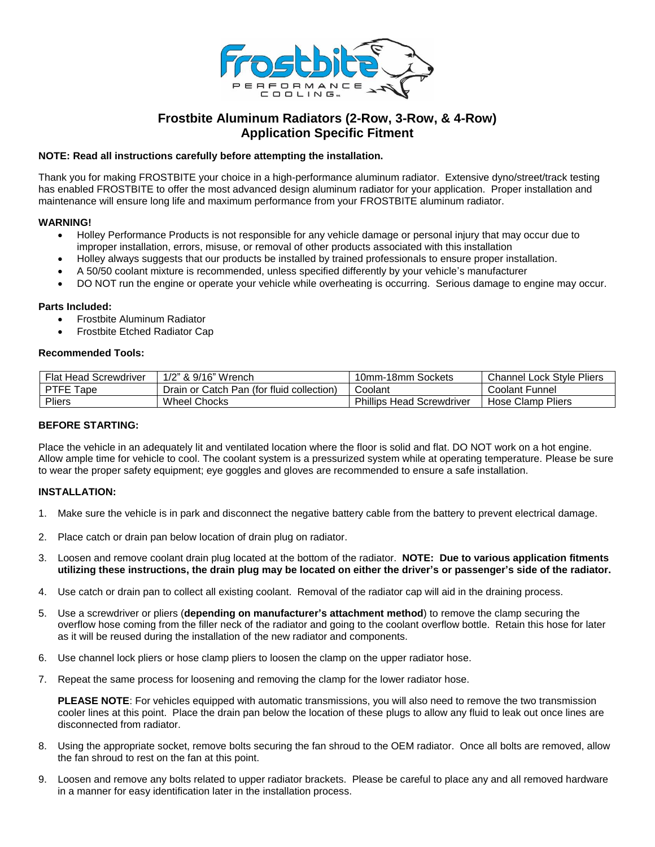

# **Frostbite Aluminum Radiators (2-Row, 3-Row, & 4-Row) Application Specific Fitment**

# **NOTE: Read all instructions carefully before attempting the installation.**

Thank you for making FROSTBITE your choice in a high-performance aluminum radiator. Extensive dyno/street/track testing has enabled FROSTBITE to offer the most advanced design aluminum radiator for your application. Proper installation and maintenance will ensure long life and maximum performance from your FROSTBITE aluminum radiator.

# **WARNING!**

- Holley Performance Products is not responsible for any vehicle damage or personal injury that may occur due to improper installation, errors, misuse, or removal of other products associated with this installation
- Holley always suggests that our products be installed by trained professionals to ensure proper installation.
- A 50/50 coolant mixture is recommended, unless specified differently by your vehicle's manufacturer
- DO NOT run the engine or operate your vehicle while overheating is occurring. Serious damage to engine may occur.

# **Parts Included:**

- Frostbite Aluminum Radiator
- Frostbite Etched Radiator Cap

### **Recommended Tools:**

| <b>Flat Head Screwdriver</b> | 1/2" & 9/16" Wrench                       | 10mm-18mm Sockets                | <b>Channel Lock Style Pliers</b> |
|------------------------------|-------------------------------------------|----------------------------------|----------------------------------|
| PTFE Tape                    | Drain or Catch Pan (for fluid collection) | Coolant                          | Coolant Funnel                   |
| Pliers                       | <b>Wheel Chocks</b>                       | <b>Phillips Head Screwdriver</b> | Hose Clamp Pliers                |

# **BEFORE STARTING:**

Place the vehicle in an adequately lit and ventilated location where the floor is solid and flat. DO NOT work on a hot engine. Allow ample time for vehicle to cool. The coolant system is a pressurized system while at operating temperature. Please be sure to wear the proper safety equipment; eye goggles and gloves are recommended to ensure a safe installation.

# **INSTALLATION:**

- 1. Make sure the vehicle is in park and disconnect the negative battery cable from the battery to prevent electrical damage.
- 2. Place catch or drain pan below location of drain plug on radiator.
- 3. Loosen and remove coolant drain plug located at the bottom of the radiator. **NOTE: Due to various application fitments utilizing these instructions, the drain plug may be located on either the driver's or passenger's side of the radiator.**
- 4. Use catch or drain pan to collect all existing coolant. Removal of the radiator cap will aid in the draining process.
- 5. Use a screwdriver or pliers (**depending on manufacturer's attachment method**) to remove the clamp securing the overflow hose coming from the filler neck of the radiator and going to the coolant overflow bottle. Retain this hose for later as it will be reused during the installation of the new radiator and components.
- 6. Use channel lock pliers or hose clamp pliers to loosen the clamp on the upper radiator hose.
- 7. Repeat the same process for loosening and removing the clamp for the lower radiator hose.

**PLEASE NOTE**: For vehicles equipped with automatic transmissions, you will also need to remove the two transmission cooler lines at this point. Place the drain pan below the location of these plugs to allow any fluid to leak out once lines are disconnected from radiator.

- 8. Using the appropriate socket, remove bolts securing the fan shroud to the OEM radiator. Once all bolts are removed, allow the fan shroud to rest on the fan at this point.
- 9. Loosen and remove any bolts related to upper radiator brackets. Please be careful to place any and all removed hardware in a manner for easy identification later in the installation process.